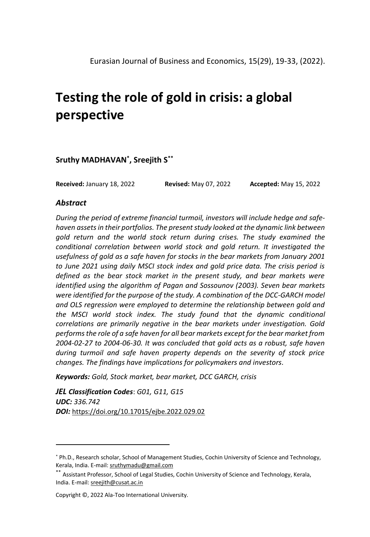**Sruthy MADHAVAN\* , Sreejith S\*\***

**Received:** January 18, 2022 **Revised:** May 07, 2022 **Accepted:** May 15, 2022

### *Abstract*

*During the period of extreme financial turmoil, investors will include hedge and safehaven assets in their portfolios. The present study looked at the dynamic link between gold return and the world stock return during crises. The study examined the conditional correlation between world stock and gold return. It investigated the usefulness of gold as a safe haven for stocks in the bear markets from January 2001 to June 2021 using daily MSCI stock index and gold price data. The crisis period is defined as the bear stock market in the present study, and bear markets were identified using the algorithm of Pagan and Sossounov (2003). Seven bear markets were identified for the purpose of the study. A combination of the DCC-GARCH model and OLS regression were employed to determine the relationship between gold and the MSCI world stock index. The study found that the dynamic conditional correlations are primarily negative in the bear markets under investigation. Gold performs the role of a safe haven for all bear markets except for the bear market from 2004-02-27 to 2004-06-30. It was concluded that gold acts as a robust, safe haven during turmoil and safe haven property depends on the severity of stock price changes. The findings have implications for policymakers and investors.* 

*Keywords: Gold, Stock market, bear market, DCC GARCH, crisis*

*JEL Classification Codes*: *G01, G11, G15 UDC: 336.742 DOI:* <https://doi.org/10.17015/ejbe.2022.029.02>

<sup>\*</sup> Ph.D., Research scholar, School of Management Studies, Cochin University of Science and Technology, Kerala, India. E-mail: sruthymadu@gmail.com

<sup>\*\*</sup> Assistant Professor, School of Legal Studies, Cochin University of Science and Technology, Kerala, India. E-mail: sreejith@cusat.ac.in

Copyright ©, 2022 Ala-Too International University.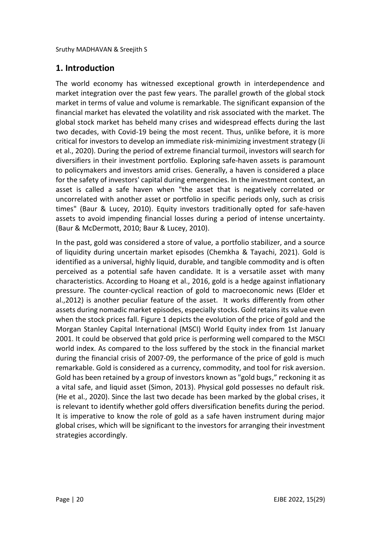# **1. Introduction**

The world economy has witnessed exceptional growth in interdependence and market integration over the past few years. The parallel growth of the global stock market in terms of value and volume is remarkable. The significant expansion of the financial market has elevated the volatility and risk associated with the market. The global stock market has beheld many crises and widespread effects during the last two decades, with Covid-19 being the most recent. Thus, unlike before, it is more critical for investors to develop an immediate risk-minimizing investment strategy (Ji et al., 2020). During the period of extreme financial turmoil, investors will search for diversifiers in their investment portfolio. Exploring safe-haven assets is paramount to policymakers and investors amid crises. Generally, a haven is considered a place for the safety of investors' capital during emergencies. In the investment context, an asset is called a safe haven when "the asset that is negatively correlated or uncorrelated with another asset or portfolio in specific periods only, such as crisis times" (Baur & Lucey, 2010). Equity investors traditionally opted for safe-haven assets to avoid impending financial losses during a period of intense uncertainty. (Baur & McDermott, 2010; Baur & Lucey, 2010).

In the past, gold was considered a store of value, a portfolio stabilizer, and a source of liquidity during uncertain market episodes (Chemkha & Tayachi, 2021). Gold is identified as a universal, highly liquid, durable, and tangible commodity and is often perceived as a potential safe haven candidate. It is a versatile asset with many characteristics. According to Hoang et al., 2016, gold is a hedge against inflationary pressure. The counter-cyclical reaction of gold to macroeconomic news (Elder et al.,2012) is another peculiar feature of the asset. It works differently from other assets during nomadic market episodes, especially stocks. Gold retains its value even when the stock prices fall. Figure 1 depicts the evolution of the price of gold and the Morgan Stanley Capital International (MSCI) World Equity index from 1st January 2001. It could be observed that gold price is performing well compared to the MSCI world index. As compared to the loss suffered by the stock in the financial market during the financial crisis of 2007-09, the performance of the price of gold is much remarkable. Gold is considered as a currency, commodity, and tool for risk aversion. Gold has been retained by a group of investors known as "gold bugs," reckoning it as a vital safe, and liquid asset (Simon, 2013). Physical gold possesses no default risk. (He et al., 2020). Since the last two decade has been marked by the global crises, it is relevant to identify whether gold offers diversification benefits during the period. It is imperative to know the role of gold as a safe haven instrument during major global crises, which will be significant to the investors for arranging their investment strategies accordingly.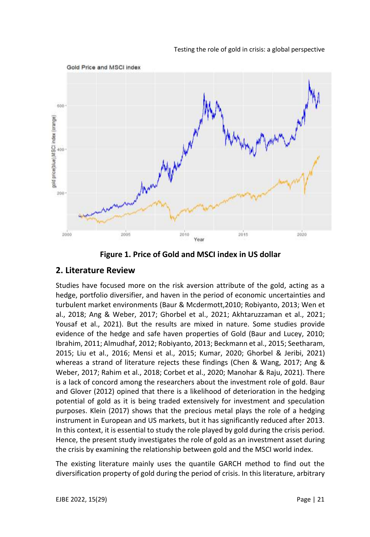

**Figure 1. Price of Gold and MSCI index in US dollar**

## **2. Literature Review**

Studies have focused more on the risk aversion attribute of the gold, acting as a hedge, portfolio diversifier, and haven in the period of economic uncertainties and turbulent market environments (Baur & Mcdermott,2010; Robiyanto, 2013; Wen et al., 2018; Ang & Weber, 2017; Ghorbel et al., 2021; Akhtaruzzaman et al., 2021; Yousaf et al., 2021). But the results are mixed in nature. Some studies provide evidence of the hedge and safe haven properties of Gold (Baur and Lucey, 2010; Ibrahim, 2011; Almudhaf, 2012; Robiyanto, 2013; Beckmann et al., 2015; Seetharam, 2015; Liu et al., 2016; Mensi et al., 2015; Kumar, 2020; Ghorbel & Jeribi, 2021) whereas a strand of literature rejects these findings (Chen & Wang, 2017; Ang & Weber, 2017; Rahim et al., 2018; Corbet et al., 2020; Manohar & Raju, 2021). There is a lack of concord among the researchers about the investment role of gold. Baur and Glover (2012) opined that there is a likelihood of deterioration in the hedging potential of gold as it is being traded extensively for investment and speculation purposes. Klein (2017) shows that the precious metal plays the role of a hedging instrument in European and US markets, but it has significantly reduced after 2013. In this context, it is essential to study the role played by gold during the crisis period. Hence, the present study investigates the role of gold as an investment asset during the crisis by examining the relationship between gold and the MSCI world index.

The existing literature mainly uses the quantile GARCH method to find out the diversification property of gold during the period of crisis. In this literature, arbitrary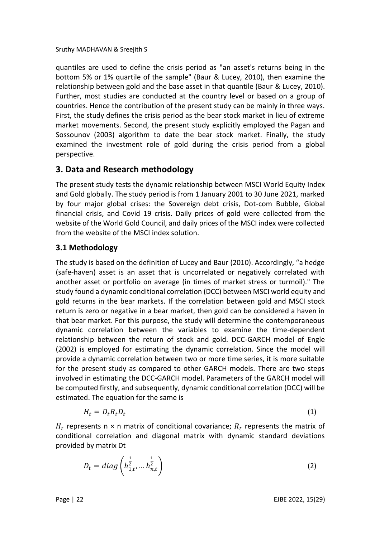quantiles are used to define the crisis period as "an asset's returns being in the bottom 5% or 1% quartile of the sample" (Baur & Lucey, 2010), then examine the relationship between gold and the base asset in that quantile (Baur & Lucey, 2010). Further, most studies are conducted at the country level or based on a group of countries. Hence the contribution of the present study can be mainly in three ways. First, the study defines the crisis period as the bear stock market in lieu of extreme market movements. Second, the present study explicitly employed the Pagan and Sossounov (2003) algorithm to date the bear stock market. Finally, the study examined the investment role of gold during the crisis period from a global perspective.

## **3. Data and Research methodology**

The present study tests the dynamic relationship between MSCI World Equity Index and Gold globally. The study period is from 1 January 2001 to 30 June 2021, marked by four major global crises: the Sovereign debt crisis, Dot-com Bubble, Global financial crisis, and Covid 19 crisis. Daily prices of gold were collected from the website of the World Gold Council, and daily prices of the MSCI index were collected from the website of the MSCI index solution.

## **3.1 Methodology**

The study is based on the definition of Lucey and Baur (2010). Accordingly, "a hedge (safe-haven) asset is an asset that is uncorrelated or negatively correlated with another asset or portfolio on average (in times of market stress or turmoil)." The study found a dynamic conditional correlation (DCC) between MSCI world equity and gold returns in the bear markets. If the correlation between gold and MSCI stock return is zero or negative in a bear market, then gold can be considered a haven in that bear market. For this purpose, the study will determine the contemporaneous dynamic correlation between the variables to examine the time-dependent relationship between the return of stock and gold. DCC-GARCH model of Engle (2002) is employed for estimating the dynamic correlation. Since the model will provide a dynamic correlation between two or more time series, it is more suitable for the present study as compared to other GARCH models. There are two steps involved in estimating the DCC-GARCH model. Parameters of the GARCH model will be computed firstly, and subsequently, dynamic conditional correlation (DCC) will be estimated. The equation for the same is

$$
H_t = D_t R_t D_t \tag{1}
$$

 $H_t$  represents n  $\times$  n matrix of conditional covariance;  $R_t$  represents the matrix of conditional correlation and diagonal matrix with dynamic standard deviations provided by matrix Dt

$$
D_t = diag\left(h_{1,t}^{\frac{1}{2}}, \dots h_{n,t}^{\frac{1}{2}}\right)
$$
\n<sup>(2)</sup>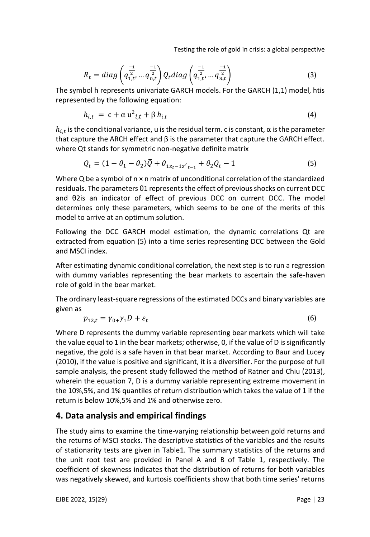$$
R_t = diag\left(q_{1,t}^{\frac{-1}{2}}, \dots q_{n,t}^{\frac{-1}{2}}\right) Q_t diag\left(q_{1,t}^{\frac{-1}{2}}, \dots q_{n,t}^{\frac{-1}{2}}\right)
$$
(3)

The symbol h represents univariate GARCH models. For the GARCH (1,1) model, htis represented by the following equation:

$$
h_{i,t} = c + \alpha u^2_{i,t} + \beta h_{i,t}
$$
 (4)

 $h_{i,t}$  is the conditional variance, u is the residual term. c is constant, α is the parameter that capture the ARCH effect and  $β$  is the parameter that capture the GARCH effect. where Qt stands for symmetric non-negative definite matrix

$$
Q_t = (1 - \theta_1 - \theta_2)\bar{Q} + \theta_{1z_t - 1z'_{t-1}} + \theta_2 Q_t - 1
$$
\n(5)

Where Q be a symbol of  $n \times n$  matrix of unconditional correlation of the standardized residuals. The parameters θ1 represents the effect of previous shocks on current DCC and θ2is an indicator of effect of previous DCC on current DCC. The model determines only these parameters, which seems to be one of the merits of this model to arrive at an optimum solution.

Following the DCC GARCH model estimation, the dynamic correlations Qt are extracted from equation (5) into a time series representing DCC between the Gold and MSCI index.

After estimating dynamic conditional correlation, the next step is to run a regression with dummy variables representing the bear markets to ascertain the safe-haven role of gold in the bear market.

The ordinary least-square regressions of the estimated DCCs and binary variables are given as

$$
p_{12,t} = \gamma_{0+}\gamma_1 D + \varepsilon_t \tag{6}
$$

Where D represents the dummy variable representing bear markets which will take the value equal to 1 in the bear markets; otherwise, 0, if the value of D is significantly negative, the gold is a safe haven in that bear market. According to Baur and Lucey (2010), if the value is positive and significant, it is a diversifier. For the purpose of full sample analysis, the present study followed the method of Ratner and Chiu (2013), wherein the equation 7, D is a dummy variable representing extreme movement in the 10%,5%, and 1% quantiles of return distribution which takes the value of 1 if the return is below 10%,5% and 1% and otherwise zero.

## **4. Data analysis and empirical findings**

The study aims to examine the time-varying relationship between gold returns and the returns of MSCI stocks. The descriptive statistics of the variables and the results of stationarity tests are given in Table1. The summary statistics of the returns and the unit root test are provided in Panel A and B of Table 1, respectively. The coefficient of skewness indicates that the distribution of returns for both variables was negatively skewed, and kurtosis coefficients show that both time series' returns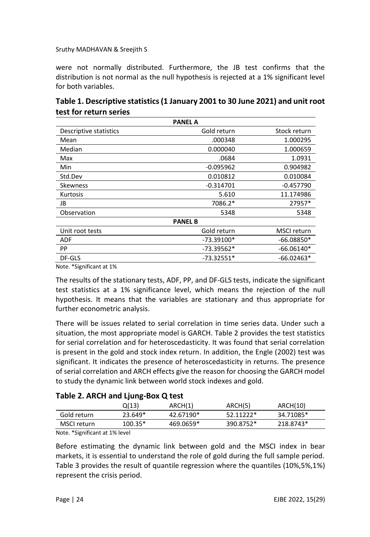were not normally distributed. Furthermore, the JB test confirms that the distribution is not normal as the null hypothesis is rejected at a 1% significant level for both variables.

| <b>PANEL A</b>         |                |                    |  |  |
|------------------------|----------------|--------------------|--|--|
| Descriptive statistics | Gold return    | Stock return       |  |  |
| Mean                   | .000348        | 1.000295           |  |  |
| Median                 | 0.000040       | 1.000659           |  |  |
| Max                    | .0684          | 1.0931             |  |  |
| Min                    | $-0.095962$    | 0.904982           |  |  |
| Std.Dev                | 0.010812       | 0.010084           |  |  |
| Skewness               | $-0.314701$    | $-0.457790$        |  |  |
| Kurtosis               | 5.610          | 11.174986          |  |  |
| JB                     | 7086.2*        | 27957*             |  |  |
| Observation            | 5348           | 5348               |  |  |
|                        | <b>PANEL B</b> |                    |  |  |
| Unit root tests        | Gold return    | <b>MSCI</b> return |  |  |
| ADF                    | $-73.39100*$   | $-66.08850*$       |  |  |
| PP                     | $-73.39562*$   | $-66.06140*$       |  |  |
| DF-GLS                 | $-73.32551*$   | $-66.02463*$       |  |  |

**Table 1. Descriptive statistics (1 January 2001 to 30 June 2021) and unit root test for return series**

Note. \*Significant at 1%

The results of the stationary tests, ADF, PP, and DF-GLS tests, indicate the significant test statistics at a 1% significance level, which means the rejection of the null hypothesis. It means that the variables are stationary and thus appropriate for further econometric analysis.

There will be issues related to serial correlation in time series data. Under such a situation, the most appropriate model is GARCH. Table 2 provides the test statistics for serial correlation and for heteroscedasticity. It was found that serial correlation is present in the gold and stock index return. In addition, the Engle (2002) test was significant. It indicates the presence of heteroscedasticity in returns. The presence of serial correlation and ARCH effects give the reason for choosing the GARCH model to study the dynamic link between world stock indexes and gold.

## **Table 2. ARCH and Ljung-Box Q test**

|             | Q(13)     | ARCH(1)   | ARCH(5)     | ARCH(10)  |
|-------------|-----------|-----------|-------------|-----------|
| Gold return | 23.649*   | 42.67190* | $52.11222*$ | 34.71085* |
| MSCI return | $100.35*$ | 469.0659* | 390.8752*   | 218.8743* |

Note. \*Significant at 1% level

Before estimating the dynamic link between gold and the MSCI index in bear markets, it is essential to understand the role of gold during the full sample period. Table 3 provides the result of quantile regression where the quantiles (10%,5%,1%) represent the crisis period.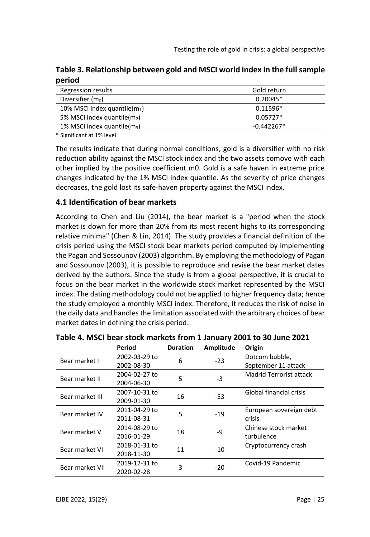**Table 3. Relationship between gold and MSCI world index in the full sample period**

| Regression results              | Gold return  |
|---------------------------------|--------------|
| Diversifier $(m_0)$             | $0.20045*$   |
| 10% MSCI index quantile $(m_1)$ | 0.11596*     |
| 5% MSCI index quantile $(m2)$   | $0.05727*$   |
| 1% MSCI index quantile $(m_3)$  | $-0.442267*$ |
|                                 |              |

\* Significant at 1% level

The results indicate that during normal conditions, gold is a diversifier with no risk reduction ability against the MSCI stock index and the two assets comove with each other implied by the positive coefficient m0. Gold is a safe haven in extreme price changes indicated by the 1% MSCI index quantile. As the severity of price changes decreases, the gold lost its safe-haven property against the MSCI index.

#### **4.1 Identification of bear markets**

According to Chen and Liu (2014), the bear market is a "period when the stock market is down for more than 20% from its most recent highs to its corresponding relative minima" (Chen & Lin, 2014). The study provides a financial definition of the crisis period using the MSCI stock bear markets period computed by implementing the Pagan and Sossounov (2003) algorithm. By employing the methodology of Pagan and Sossounov (2003), it is possible to reproduce and revise the bear market dates derived by the authors. Since the study is from a global perspective, it is crucial to focus on the bear market in the worldwide stock market represented by the MSCI index. The dating methodology could not be applied to higher frequency data; hence the study employed a monthly MSCI index. Therefore, it reduces the risk of noise in the daily data and handles the limitation associated with the arbitrary choices of bear market dates in defining the crisis period.

|                 | Period        | <b>Duration</b> | Amplitude | Origin                         |
|-----------------|---------------|-----------------|-----------|--------------------------------|
| Bear market I   | 2002-03-29 to | 6               | $-23$     | Dotcom bubble,                 |
|                 | 2002-08-30    |                 |           | September 11 attack            |
| Bear market II  | 2004-02-27 to | 5               | -3        | <b>Madrid Terrorist attack</b> |
|                 | 2004-06-30    |                 |           |                                |
|                 | 2007-10-31 to | 16              | $-53$     | Global financial crisis        |
| Bear market III | 2009-01-30    |                 |           |                                |
| Bear market IV  | 2011-04-29 to | 5               | $-19$     | European sovereign debt        |
|                 | 2011-08-31    |                 |           | crisis                         |
| Bear market V   | 2014-08-29 to |                 | -9        | Chinese stock market           |
|                 | 2016-01-29    | 18              |           | turbulence                     |
|                 | 2018-01-31 to | 11              | $-10$     | Cryptocurrency crash           |
| Bear market VI  | 2018-11-30    |                 |           |                                |
| Bear market VII | 2019-12-31 to | 3               | $-20$     | Covid-19 Pandemic              |
|                 | 2020-02-28    |                 |           |                                |

| Table 4. MSCI bear stock markets from 1 January 2001 to 30 June 2021 |  |
|----------------------------------------------------------------------|--|
|----------------------------------------------------------------------|--|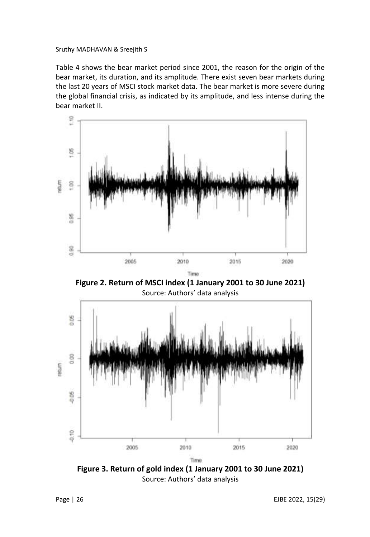Table 4 shows the bear market period since 2001, the reason for the origin of the bear market, its duration, and its amplitude. There exist seven bear markets during the last 20 years of MSCI stock market data. The bear market is more severe during the global financial crisis, as indicated by its amplitude, and less intense during the bear market II.



**Figure 2. Return of MSCI index (1 January 2001 to 30 June 2021)** Source: Authors' data analysis



**Figure 3. Return of gold index (1 January 2001 to 30 June 2021)** Source: Authors' data analysis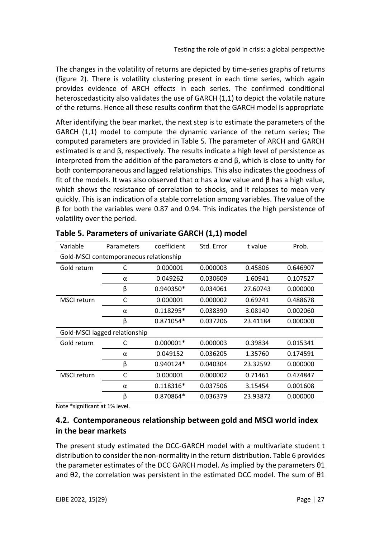The changes in the volatility of returns are depicted by time-series graphs of returns (figure 2). There is volatility clustering present in each time series, which again provides evidence of ARCH effects in each series. The confirmed conditional heteroscedasticity also validates the use of GARCH (1,1) to depict the volatile nature of the returns. Hence all these results confirm that the GARCH model is appropriate

After identifying the bear market, the next step is to estimate the parameters of the GARCH (1,1) model to compute the dynamic variance of the return series; The computed parameters are provided in Table 5. The parameter of ARCH and GARCH estimated is  $\alpha$  and  $\beta$ , respectively. The results indicate a high level of persistence as interpreted from the addition of the parameters α and β, which is close to unity for both contemporaneous and lagged relationships. This also indicates the goodness of fit of the models. It was also observed that α has a low value and β has a high value, which shows the resistance of correlation to shocks, and it relapses to mean very quickly. This is an indication of a stable correlation among variables. The value of the β for both the variables were 0.87 and 0.94. This indicates the high persistence of volatility over the period.

| Variable           | Parameters                             | coefficient | Std. Error | t value  | Prob.    |
|--------------------|----------------------------------------|-------------|------------|----------|----------|
|                    | Gold-MSCI contemporaneous relationship |             |            |          |          |
| Gold return        | C                                      | 0.000001    | 0.000003   | 0.45806  | 0.646907 |
|                    | α                                      | 0.049262    | 0.030609   | 1.60941  | 0.107527 |
|                    | β                                      | 0.940350*   | 0.034061   | 27.60743 | 0.000000 |
| <b>MSCI</b> return | C                                      | 0.000001    | 0.000002   | 0.69241  | 0.488678 |
|                    | $\alpha$                               | 0.118295*   | 0.038390   | 3.08140  | 0.002060 |
|                    | β                                      | 0.871054*   | 0.037206   | 23.41184 | 0.000000 |
|                    | Gold-MSCI lagged relationship          |             |            |          |          |
| Gold return        | C                                      | $0.000001*$ | 0.000003   | 0.39834  | 0.015341 |
|                    | $\alpha$                               | 0.049152    | 0.036205   | 1.35760  | 0.174591 |
|                    | β                                      | 0.940124*   | 0.040304   | 23.32592 | 0.000000 |
| <b>MSCI</b> return | C                                      | 0.000001    | 0.000002   | 0.71461  | 0.474847 |
|                    | α                                      | 0.118316*   | 0.037506   | 3.15454  | 0.001608 |
|                    | β                                      | 0.870864*   | 0.036379   | 23.93872 | 0.000000 |

| Table 5. Parameters of univariate GARCH (1,1) model |  |  |
|-----------------------------------------------------|--|--|
|-----------------------------------------------------|--|--|

Note \*significant at 1% level.

# **4.2. Contemporaneous relationship between gold and MSCI world index in the bear markets**

The present study estimated the DCC-GARCH model with a multivariate student t distribution to consider the non-normality in the return distribution. Table 6 provides the parameter estimates of the DCC GARCH model. As implied by the parameters θ1 and θ2, the correlation was persistent in the estimated DCC model. The sum of θ1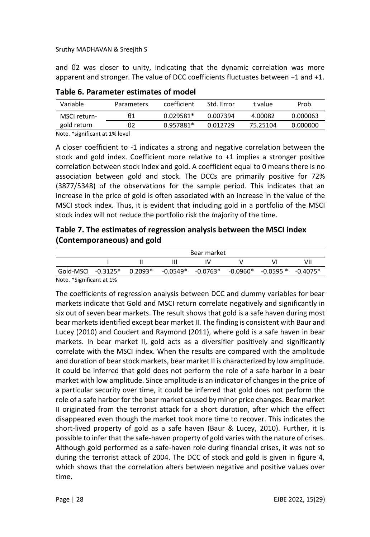and θ2 was closer to unity, indicating that the dynamic correlation was more apparent and stronger. The value of DCC coefficients fluctuates between −1 and +1.

| Variable                       | Parameters | coefficient | Std. Frror | t value  | Prob.    |
|--------------------------------|------------|-------------|------------|----------|----------|
| MSCI return-                   | θ1         | $0.029581*$ | 0.007394   | 4.00082  | 0.000063 |
| gold return                    | θ2         | 0.957881*   | 0.012729   | 75.25104 | 0.000000 |
| Nets Sales Cleant at 40/ Lough |            |             |            |          |          |

#### **Table 6. Parameter estimates of model**

Note. \*significant at 1% level

A closer coefficient to -1 indicates a strong and negative correlation between the stock and gold index. Coefficient more relative to +1 implies a stronger positive correlation between stock index and gold. A coefficient equal to 0 means there is no association between gold and stock. The DCCs are primarily positive for 72% (3877/5348) of the observations for the sample period. This indicates that an increase in the price of gold is often associated with an increase in the value of the MSCI stock index. Thus, it is evident that including gold in a portfolio of the MSCI stock index will not reduce the portfolio risk the majority of the time.

## **Table 7. The estimates of regression analysis between the MSCI index (Contemporaneous) and gold**

|                    | Bear market |           |             |                   |  |                       |    |
|--------------------|-------------|-----------|-------------|-------------------|--|-----------------------|----|
|                    |             |           |             | W                 |  |                       | V١ |
| Gold-MSCI -0.3125* |             | $0.2093*$ | $-0.0549^*$ | -0.0763* -0.0960* |  | $-0.0595*$ $-0.4075*$ |    |

Note. \*Significant at 1%

The coefficients of regression analysis between DCC and dummy variables for bear markets indicate that Gold and MSCI return correlate negatively and significantly in six out of seven bear markets. The result shows that gold is a safe haven during most bear markets identified except bear market II. The finding is consistent with Baur and Lucey (2010) and Coudert and Raymond (2011), where gold is a safe haven in bear markets. In bear market II, gold acts as a diversifier positively and significantly correlate with the MSCI index. When the results are compared with the amplitude and duration of bear stock markets, bear market II is characterized by low amplitude. It could be inferred that gold does not perform the role of a safe harbor in a bear market with low amplitude. Since amplitude is an indicator of changes in the price of a particular security over time, it could be inferred that gold does not perform the role of a safe harbor for the bear market caused by minor price changes. Bear market II originated from the terrorist attack for a short duration, after which the effect disappeared even though the market took more time to recover. This indicates the short-lived property of gold as a safe haven (Baur & Lucey, 2010). Further, it is possible to infer that the safe-haven property of gold varies with the nature of crises. Although gold performed as a safe-haven role during financial crises, it was not so during the terrorist attack of 2004. The DCC of stock and gold is given in figure 4, which shows that the correlation alters between negative and positive values over time.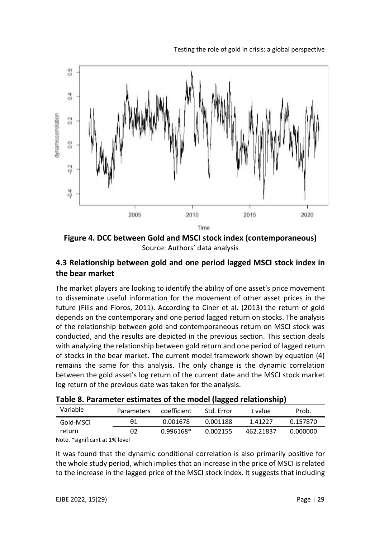Testing the role of gold in crisis: a global perspective



**Figure 4. DCC between Gold and MSCI stock index (contemporaneous)** Source: Authors' data analysis

# **4.3 Relationship between gold and one period lagged MSCI stock index in the bear market**

The market players are looking to identify the ability of one asset's price movement to disseminate useful information for the movement of other asset prices in the future (Filis and Floros, 2011). According to Ciner et al. (2013) the return of gold depends on the contemporary and one period lagged return on stocks. The analysis of the relationship between gold and contemporaneous return on MSCI stock was conducted, and the results are depicted in the previous section. This section deals with analyzing the relationship between gold return and one period of lagged return of stocks in the bear market. The current model framework shown by equation (4) remains the same for this analysis. The only change is the dynamic correlation between the gold asset's log return of the current date and the MSCI stock market log return of the previous date was taken for the analysis.

| Variable  | Parameters | coefficient | Std. Frror | t value   | Prob.    |
|-----------|------------|-------------|------------|-----------|----------|
| Gold-MSCL | θ1         | 0.001678    | 0.001188   | 141227    | 0.157870 |
| return    | θ2         | $0.996168*$ | 0.002155   | 462 21837 | 0.000000 |

| Table 8. Parameter estimates of the model (lagged relationship) |  |  |
|-----------------------------------------------------------------|--|--|
|-----------------------------------------------------------------|--|--|

Note. \*significant at 1% level

It was found that the dynamic conditional correlation is also primarily positive for the whole study period, which implies that an increase in the price of MSCI is related to the increase in the lagged price of the MSCI stock index. It suggests that including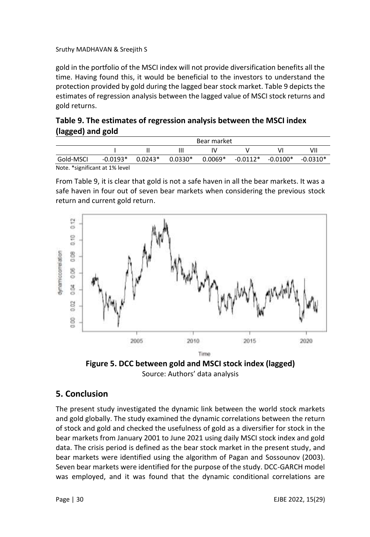gold in the portfolio of the MSCI index will not provide diversification benefits all the time. Having found this, it would be beneficial to the investors to understand the protection provided by gold during the lagged bear stock market. Table 9 depicts the estimates of regression analysis between the lagged value of MSCI stock returns and gold returns.

| Table 9. The estimates of regression analysis between the MSCI index |  |
|----------------------------------------------------------------------|--|
| (lagged) and gold                                                    |  |

|                                                                                                                           | Bear market |           |           |           |            |            |            |
|---------------------------------------------------------------------------------------------------------------------------|-------------|-----------|-----------|-----------|------------|------------|------------|
|                                                                                                                           |             |           |           |           |            |            | VII        |
| Gold-MSCI                                                                                                                 | $-0.0193*$  | $0.0243*$ | $0.0330*$ | $0.0069*$ | $-0.0112*$ | $-0.0100*$ | $-0.0310*$ |
| $N_{\text{obs}}$ $*_{\text{c}}$ $*_{\text{c}}$ $*_{\text{c}}$ $*_{\text{c}}$ $*_{\text{c}}$ $*_{\text{c}}$ $*_{\text{c}}$ |             |           |           |           |            |            |            |

Note. \*significant at 1% level

From Table 9, it is clear that gold is not a safe haven in all the bear markets. It was a safe haven in four out of seven bear markets when considering the previous stock return and current gold return.



**Figure 5. DCC between gold and MSCI stock index (lagged)** Source: Authors' data analysis

# **5. Conclusion**

The present study investigated the dynamic link between the world stock markets and gold globally. The study examined the dynamic correlations between the return of stock and gold and checked the usefulness of gold as a diversifier for stock in the bear markets from January 2001 to June 2021 using daily MSCI stock index and gold data. The crisis period is defined as the bear stock market in the present study, and bear markets were identified using the algorithm of Pagan and Sossounov (2003). Seven bear markets were identified for the purpose of the study. DCC-GARCH model was employed, and it was found that the dynamic conditional correlations are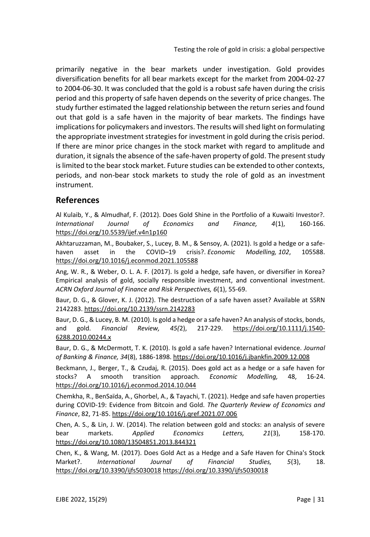primarily negative in the bear markets under investigation. Gold provides diversification benefits for all bear markets except for the market from 2004-02-27 to 2004-06-30. It was concluded that the gold is a robust safe haven during the crisis period and this property of safe haven depends on the severity of price changes. The study further estimated the lagged relationship between the return series and found out that gold is a safe haven in the majority of bear markets. The findings have implications for policymakers and investors. The results will shed light on formulating the appropriate investment strategies for investment in gold during the crisis period. If there are minor price changes in the stock market with regard to amplitude and duration, it signals the absence of the safe-haven property of gold. The present study is limited to the bear stock market. Future studies can be extended to other contexts, periods, and non-bear stock markets to study the role of gold as an investment instrument.

## **References**

Al Kulaib, Y., & Almudhaf, F. (2012). Does Gold Shine in the Portfolio of a Kuwaiti Investor?. *International Journal of Economics and Finance, 4*(1), 160-166. <https://doi.org/10.5539/ijef.v4n1p160>

Akhtaruzzaman, M., Boubaker, S., Lucey, B. M., & Sensoy, A. (2021). Is gold a hedge or a safehaven asset in the COVID–19 crisis?. *Economic Modelling, 102*, 105588. <https://doi.org/10.1016/j.econmod.2021.105588>

Ang, W. R., & Weber, O. L. A. F. (2017). Is gold a hedge, safe haven, or diversifier in Korea? Empirical analysis of gold, socially responsible investment, and conventional investment. *ACRN Oxford Journal of Finance and Risk Perspectives, 6*(1), 55-69.

Baur, D. G., & Glover, K. J. (2012). The destruction of a safe haven asset? Available at SSRN 2142283. <https://doi.org/10.2139/ssrn.2142283>

Baur, D. G., & Lucey, B. M. (2010). Is gold a hedge or a safe haven? An analysis of stocks, bonds, and gold. *Financial Review, 45(*2), 217-229. [https://doi.org/10.1111/j.1540-](https://doi.org/10.1111/j.1540-6288.2010.00244.x) [6288.2010.00244.x](https://doi.org/10.1111/j.1540-6288.2010.00244.x)

Baur, D. G., & McDermott, T. K. (2010). Is gold a safe haven? International evidence. *Journal of Banking & Finance, 34*(8), 1886-1898[. https://doi.org/10.1016/j.jbankfin.2009.12.008](https://doi.org/10.1016/j.jbankfin.2009.12.008)

Beckmann, J., Berger, T., & Czudaj, R. (2015). Does gold act as a hedge or a safe haven for stocks? A smooth transition approach. *Economic Modelling,* 48, 16-24. <https://doi.org/10.1016/j.econmod.2014.10.044>

Chemkha, R., BenSaïda, A., Ghorbel, A., & Tayachi, T. (2021). Hedge and safe haven properties during COVID-19: Evidence from Bitcoin and Gold. *The Quarterly Review of Economics and Finance*, 82, 71-85. <https://doi.org/10.1016/j.qref.2021.07.006>

Chen, A. S., & Lin, J. W. (2014). The relation between gold and stocks: an analysis of severe bear markets. *Applied Economics Letters, 21*(3), 158-170. <https://doi.org/10.1080/13504851.2013.844321>

Chen, K., & Wang, M. (2017). Does Gold Act as a Hedge and a Safe Haven for China's Stock Market?. *International Journal of Financial Studies, 5*(3), 18. <https://doi.org/10.3390/ijfs5030018> <https://doi.org/10.3390/ijfs5030018>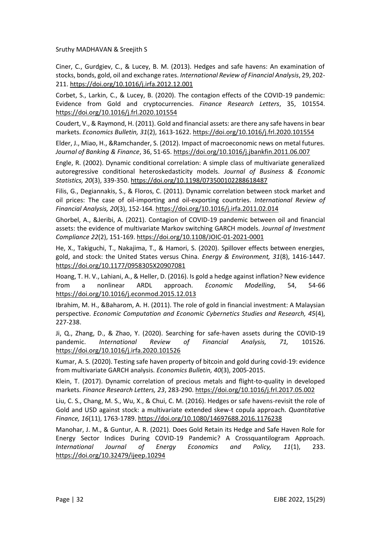Ciner, C., Gurdgiev, C., & Lucey, B. M. (2013). Hedges and safe havens: An examination of stocks, bonds, gold, oil and exchange rates. *International Review of Financial Analysis*, 29, 202- 211. <https://doi.org/10.1016/j.irfa.2012.12.001>

Corbet, S., Larkin, C., & Lucey, B. (2020). The contagion effects of the COVID-19 pandemic: Evidence from Gold and cryptocurrencies. *Finance Research Letters*, 35, 101554. <https://doi.org/10.1016/j.frl.2020.101554>

Coudert, V., & Raymond, H. (2011). Gold and financial assets: are there any safe havens in bear markets. *Economics Bulletin, 31*(2), 1613-1622. <https://doi.org/10.1016/j.frl.2020.101554>

Elder, J., Miao, H., &Ramchander, S. (2012). Impact of macroeconomic news on metal futures. *Journal of Banking & Finance*, 36, 51-65[. https://doi.org/10.1016/j.jbankfin.2011.06.007](https://doi.org/10.1016/j.jbankfin.2011.06.007)

Engle, R. (2002). Dynamic conditional correlation: A simple class of multivariate generalized autoregressive conditional heteroskedasticity models. *Journal of Business & Economic Statistics, 20*(3), 339-350. <https://doi.org/10.1198/073500102288618487>

Filis, G., Degiannakis, S., & Floros, C. (2011). Dynamic correlation between stock market and oil prices: The case of oil-importing and oil-exporting countries. *International Review of Financial Analysis, 20*(3), 152-164.<https://doi.org/10.1016/j.irfa.2011.02.014>

Ghorbel, A., &Jeribi, A. (2021). Contagion of COVID-19 pandemic between oil and financial assets: the evidence of multivariate Markov switching GARCH models*. Journal of Investment Compliance 22*(2), 151-169[. https://doi.org/10.1108/JOIC-01-2021-0001](https://doi.org/10.1108/JOIC-01-2021-0001)

He, X., Takiguchi, T., Nakajima, T., & Hamori, S. (2020). Spillover effects between energies, gold, and stock: the United States versus China. *Energy & Environment, 31*(8), 1416-1447. <https://doi.org/10.1177/0958305X20907081>

Hoang, T. H. V., Lahiani, A., & Heller, D. (2016). Is gold a hedge against inflation? New evidence from a nonlinear ARDL approach. *Economic Modelling*, 54, 54-66 <https://doi.org/10.1016/j.econmod.2015.12.013>

Ibrahim, M. H., &Baharom, A. H. (2011). The role of gold in financial investment: A Malaysian perspective. *Economic Computation and Economic Cybernetics Studies and Research, 45*(4), 227-238.

Ji, Q., Zhang, D., & Zhao, Y. (2020). Searching for safe-haven assets during the COVID-19 pandemic. *International Review of Financial Analysis, 71,* 101526. <https://doi.org/10.1016/j.irfa.2020.101526>

Kumar, A. S. (2020). Testing safe haven property of bitcoin and gold during covid-19: evidence from multivariate GARCH analysis. *Economics Bulletin, 40*(3), 2005-2015.

Klein, T. (2017). Dynamic correlation of precious metals and flight-to-quality in developed markets. *Finance Research Letters, 23*, 283-290[. https://doi.org/10.1016/j.frl.2017.05.002](https://doi.org/10.1016/j.frl.2017.05.002) 

Liu, C. S., Chang, M. S., Wu, X., & Chui, C. M. (2016). Hedges or safe havens-revisit the role of Gold and USD against stock: a multivariate extended skew-t copula approach. *Quantitative Finance, 16*(11), 1763-1789. <https://doi.org/10.1080/14697688.2016.1176238>

Manohar, J. M., & Guntur, A. R. (2021). Does Gold Retain its Hedge and Safe Haven Role for Energy Sector Indices During COVID-19 Pandemic? A Crossquantilogram Approach. *International Journal of Energy Economics and Policy, 11*(1), 233. <https://doi.org/10.32479/ijeep.10294>